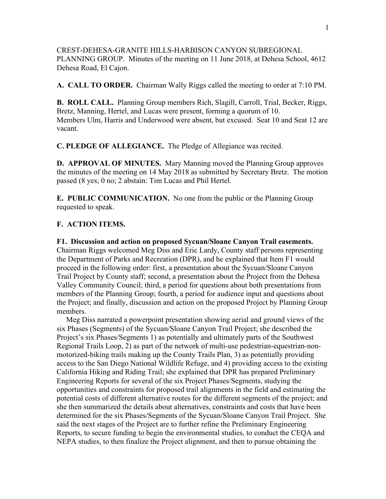CREST-DEHESA-GRANITE HILLS-HARBISON CANYON SUBREGIONAL PLANNING GROUP. Minutes of the meeting on 11 June 2018, at Dehesa School, 4612 Dehesa Road, El Cajon.

**A. CALL TO ORDER.** Chairman Wally Riggs called the meeting to order at 7:10 PM.

**B. ROLL CALL.** Planning Group members Rich, Slagill, Carroll, Trial, Becker, Riggs, Bretz, Manning, Hertel, and Lucas were present, forming a quorum of 10. Members Ulm, Harris and Underwood were absent, but excused. Seat 10 and Seat 12 are vacant.

**C. PLEDGE OF ALLEGIANCE.** The Pledge of Allegiance was recited.

**D. APPROVAL OF MINUTES.** Mary Manning moved the Planning Group approves the minutes of the meeting on 14 May 2018 as submitted by Secretary Bretz. The motion passed (8 yes; 0 no; 2 abstain: Tim Lucas and Phil Hertel.

**E. PUBLIC COMMUNICATION.** No one from the public or the Planning Group requested to speak.

## **F. ACTION ITEMS.**

**F1. Discussion and action on proposed Sycuan/Sloane Canyon Trail easements.**

Chairman Riggs welcomed Meg Diss and Eric Lardy, County staff persons representing the Department of Parks and Recreation (DPR), and he explained that Item F1 would proceed in the following order: first, a presentation about the Sycuan/Sloane Canyon Trail Project by County staff; second, a presentation about the Project from the Dehesa Valley Community Council; third, a period for questions about both presentations from members of the Planning Group; fourth, a period for audience input and questions about the Project; and finally, discussion and action on the proposed Project by Planning Group members.

 Meg Diss narrated a powerpoint presentation showing aerial and ground views of the six Phases (Segments) of the Sycuan/Sloane Canyon Trail Project; she described the Project's six Phases/Segments 1) as potentially and ultimately parts of the Southwest Regional Trails Loop, 2) as part of the network of multi-use pedestrian-equestrian-nonmotorized-biking trails making up the County Trails Plan, 3) as potentially providing access to the San Diego National Wildlife Refuge, and 4) providing access to the existing California Hiking and Riding Trail; she explained that DPR has prepared Preliminary Engineering Reports for several of the six Project Phases/Segments, studying the opportunities and constraints for proposed trail alignments in the field and estimating the potential costs of different alternative routes for the different segments of the project; and she then summarized the details about alternatives, constraints and costs that have been determined for the six Phases/Segments of the Sycuan/Sloane Canyon Trail Project. She said the next stages of the Project are to further refine the Preliminary Engineering Reports, to secure funding to begin the environmental studies, to conduct the CEQA and NEPA studies, to then finalize the Project alignment, and then to pursue obtaining the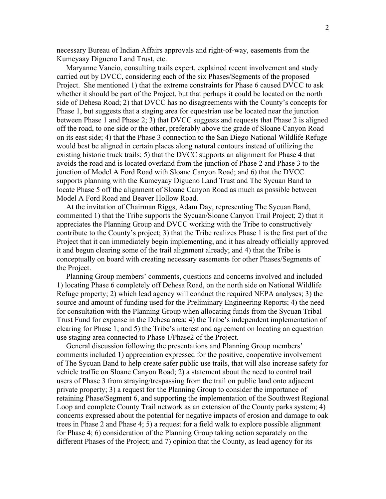necessary Bureau of Indian Affairs approvals and right-of-way, easements from the Kumeyaay Digueno Land Trust, etc.

 Maryanne Vancio, consulting trails expert, explained recent involvement and study carried out by DVCC, considering each of the six Phases/Segments of the proposed Project. She mentioned 1) that the extreme constraints for Phase 6 caused DVCC to ask whether it should be part of the Project, but that perhaps it could be located on the north side of Dehesa Road; 2) that DVCC has no disagreements with the County's concepts for Phase 1, but suggests that a staging area for equestrian use be located near the junction between Phase 1 and Phase 2; 3) that DVCC suggests and requests that Phase 2 is aligned off the road, to one side or the other, preferably above the grade of Sloane Canyon Road on its east side; 4) that the Phase 3 connection to the San Diego National Wildlife Refuge would best be aligned in certain places along natural contours instead of utilizing the existing historic truck trails; 5) that the DVCC supports an alignment for Phase 4 that avoids the road and is located overland from the junction of Phase 2 and Phase 3 to the junction of Model A Ford Road with Sloane Canyon Road; and 6) that the DVCC supports planning with the Kumeyaay Digueno Land Trust and The Sycuan Band to locate Phase 5 off the alignment of Sloane Canyon Road as much as possible between Model A Ford Road and Beaver Hollow Road.

 At the invitation of Chairman Riggs, Adam Day, representing The Sycuan Band, commented 1) that the Tribe supports the Sycuan/Sloane Canyon Trail Project; 2) that it appreciates the Planning Group and DVCC working with the Tribe to constructively contribute to the County's project; 3) that the Tribe realizes Phase 1 is the first part of the Project that it can immediately begin implementing, and it has already officially approved it and begun clearing some of the trail alignment already; and 4) that the Tribe is conceptually on board with creating necessary easements for other Phases/Segments of the Project.

 Planning Group members' comments, questions and concerns involved and included 1) locating Phase 6 completely off Dehesa Road, on the north side on National Wildlife Refuge property; 2) which lead agency will conduct the required NEPA analyses; 3) the source and amount of funding used for the Preliminary Engineering Reports; 4) the need for consultation with the Planning Group when allocating funds from the Sycuan Tribal Trust Fund for expense in the Dehesa area; 4) the Tribe's independent implementation of clearing for Phase 1; and 5) the Tribe's interest and agreement on locating an equestrian use staging area connected to Phase 1/Phase2 of the Project.

 General discussion following the presentations and Planning Group members' comments included 1) appreciation expressed for the positive, cooperative involvement of The Sycuan Band to help create safer public use trails, that will also increase safety for vehicle traffic on Sloane Canyon Road; 2) a statement about the need to control trail users of Phase 3 from straying/trespassing from the trail on public land onto adjacent private property; 3) a request for the Planning Group to consider the importance of retaining Phase/Segment 6, and supporting the implementation of the Southwest Regional Loop and complete County Trail network as an extension of the County parks system; 4) concerns expressed about the potential for negative impacts of erosion and damage to oak trees in Phase 2 and Phase 4; 5) a request for a field walk to explore possible alignment for Phase 4; 6) consideration of the Planning Group taking action separately on the different Phases of the Project; and 7) opinion that the County, as lead agency for its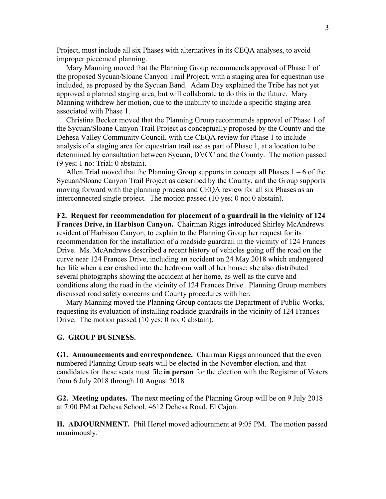Project, must include all six Phases with alternatives in its CEQA analyses, to avoid improper piecemeal planning.

 Mary Manning moved that the Planning Group recommends approval of Phase 1 of the proposed Sycuan/Sloane Canyon Trail Project, with a staging area for equestrian use included, as proposed by the Sycuan Band. Adam Day explained the Tribe has not yet approved a planned staging area, but will collaborate to do this in the future. Mary Manning withdrew her motion, due to the inability to include a specific staging area associated with Phase 1.

 Christina Becker moved that the Planning Group recommends approval of Phase 1 of the Sycuan/Sloane Canyon Trail Project as conceptually proposed by the County and the Dehesa Valley Community Council, with the CEQA review for Phase 1 to include analysis of a staging area for equestrian trail use as part of Phase 1, at a location to be determined by consultation between Sycuan, DVCC and the County. The motion passed (9 yes; 1 no: Trial; 0 abstain).

Allen Trial moved that the Planning Group supports in concept all Phases  $1 - 6$  of the Sycuan/Sloane Canyon Trail Project as described by the County, and the Group supports moving forward with the planning process and CEQA review for all six Phases as an interconnected single project. The motion passed (10 yes; 0 no; 0 abstain).

**F2. Request for recommendation for placement of a guardrail in the vicinity of 124 Frances Drive, in Harbison Canyon.** Chairman Riggs introduced Shirley McAndrews resident of Harbison Canyon, to explain to the Planning Group her request for its recommendation for the installation of a roadside guardrail in the vicinity of 124 Frances Drive. Ms. McAndrews described a recent history of vehicles going off the road on the curve near 124 Frances Drive, including an accident on 24 May 2018 which endangered her life when a car crashed into the bedroom wall of her house; she also distributed several photographs showing the accident at her home, as well as the curve and conditions along the road in the vicinity of 124 Frances Drive. Planning Group members discussed road safety concerns and County procedures with her.

 Mary Manning moved the Planning Group contacts the Department of Public Works, requesting its evaluation of installing roadside guardrails in the vicinity of 124 Frances Drive. The motion passed (10 yes; 0 no; 0 abstain).

## **G. GROUP BUSINESS.**

**G1. Announcements and correspondence.** Chairman Riggs announced that the even numbered Planning Group seats will be elected in the November election, and that candidates for these seats must file **in person** for the election with the Registrar of Voters from 6 July 2018 through 10 August 2018.

**G2. Meeting updates.** The next meeting of the Planning Group will be on 9 July 2018 at 7:00 PM at Dehesa School, 4612 Dehesa Road, El Cajon.

**H. ADJOURNMENT.** Phil Hertel moved adjournment at 9:05 PM. The motion passed unanimously.